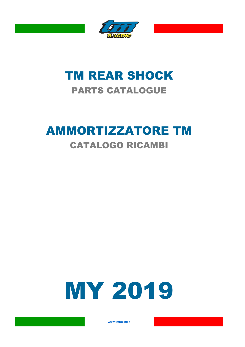

### TM REAR SHOCK PARTS CATALOGUE

## AMMORTIZZATORE TM CATALOGO RICAMBI

# **MY 2019**

**www.tmracing.it**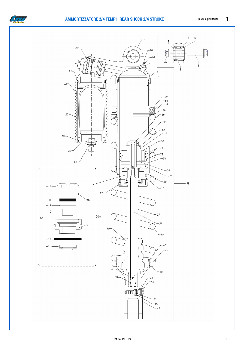

#### **AMMORTIZZATORE 2/4 TEMPI | REAR SHOCK 2/4 STROKE** TAVOLA | DRAWING 1

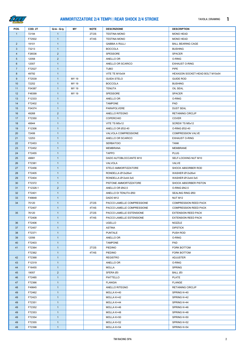

#### **AMMORTIZZATORE 2/4 TEMPI | REAR SHOCK 2/4 STROKE** TAVOLA | DRAWING 1

| POS.           | COD. 2T  | Q.tà - Q.ty    | ΜY    | <b>NOTE</b> | <b>DESCRIZIONE</b>         | <b>DESCRIPTION</b>              |
|----------------|----------|----------------|-------|-------------|----------------------------|---------------------------------|
| $\mathbf{1}$   | 72194    | $\mathbf{1}$   |       | 2T/2S       | <b>TESTINA MONO</b>        | <b>MONO HEAD</b>                |
|                | F72502   | $\mathbf{1}$   |       | 4T/4S       | <b>TESTINA MONO</b>        | <b>MONO HEAD</b>                |
| $\overline{2}$ | 19101    | $\mathbf{1}$   |       |             | <b>GABBIA A RULLI</b>      | <b>BALL BEARING CAGE</b>        |
| 3              | 73213    | $\mathbf{1}$   |       |             | <b>BOCCOLA</b>             | <b>BUSHING</b>                  |
| $\overline{4}$ | F26536   | $\overline{2}$ |       |             | SPESSORE                   | SPACER                          |
| 5              | 12058    | $\overline{2}$ |       |             | ANELLO OR                  | O-RING                          |
| 6              | 12007    | $\mathbf{1}$   |       |             | ANELLO OR SCARICO          | <b>EXHAUST O-RING</b>           |
| $\overline{7}$ | F72527   | $\mathbf{1}$   |       |             | <b>TUBO</b>                | <b>PIPE</b>                     |
| 8              | 49792    | $\mathbf{1}$   |       |             | VITE TE M10x54             | HEXAGON SOCKET-HEAD BOLT M10x54 |
| 9              | F72539   | $\mathbf{1}$   | MY 19 |             | <b>GUIDA STELO</b>         | <b>GUIDE ROD</b>                |
| 10             | 72252    | $\mathbf{1}$   | MY 19 |             | <b>BOCCOLA</b>             | <b>BUSHING</b>                  |
| 11             | F04387   | $\mathbf{1}$   | MY 19 |             | TENUTA                     | OIL SEAL                        |
| 12             | F48399   | $\mathbf{1}$   | MY 19 |             | SPESSORE                   | SPACER                          |
| 13             | F12333   | $\mathbf{1}$   |       |             | ANELLO OR                  | O-RING                          |
| 14             | F72402   | $\mathbf{1}$   |       |             | <b>TAMPONE</b>             | PAD                             |
| 15             | F04374   | $\mathbf{1}$   |       |             | PARAPOLVERE                | <b>DUST SEAL</b>                |
| 16             | 49268    | $\overline{2}$ |       |             | ANELLO RITEGNO             | <b>RETAINING CIRCLIP</b>        |
| 17             | F72350   | $\mathbf{1}$   |       |             | COPERCHIO                  | COVER                           |
|                |          |                |       |             |                            |                                 |
| 18             | 49944    | $\mathbf{1}$   |       |             | VITE TS M5x12              | SCREW TS M5x12                  |
| 19             | F12306   | $\mathbf{1}$   |       |             | ANELLO OR Ø32-40           | O-RING Ø32-40                   |
| 20             | 72406    | $\mathbf{1}$   |       |             | VALVOLA COMPRESSIONE       | <b>COMPRESSION VALVE</b>        |
| 21             | 12253    | $\mathbf{1}$   |       |             | ANELLO OR SCARICO          | <b>EXHAUST O-RING</b>           |
| 22             | F72453   | $\mathbf{1}$   |       |             | <b>SERBATOIO</b>           | <b>TANK</b>                     |
| 23             | F72452   | $\mathbf{1}$   |       |             | <b>MEMBRANA</b>            | MEMBRANE                        |
| 24             | F72455   | $\mathbf{1}$   |       |             | <b>TAPPO</b>               | <b>PLUG</b>                     |
| 25             | 49681    | $\mathbf{1}$   |       |             | DADO AUTOBLOCCANTE M10     | SELF-LOCKING NUT M10            |
| 26             | F72381   | $\mathbf{1}$   |       |             | VALVOLA                    | VALVE                           |
| 27             | F72456   | $\mathbf{1}$   |       |             | STELO AMMORTIZZATORE       | SHOCK ABSORBER ROD              |
| 28             | F72405   | $\mathbf{1}$   |       |             | RONDELLA Ø12x26x4          | WASHER Ø12x26x4                 |
| 29             | F72404   | $\overline{1}$ |       |             | RONDELLA Ø12x44.5x5        | WASHER Ø12x44.5x5               |
| 30             | F72372   | $\overline{1}$ |       |             | PISTONE AMMORTIZZATORE     | SHOCK ABSORBER PISTON           |
| 31             | F12328.1 | $\overline{2}$ |       |             | ANELLO OR Ø42,5            | O-RING Ø42,5                    |
| 32             | F72401   | $\overline{1}$ |       |             | ANELLO DI TENUTA Ø50       | SEALING RING Ø50                |
| 33             | F49848   | $\mathbf{1}$   |       |             | DADO M12                   | NUT M12                         |
| 34             | 75120    | $\mathbf{1}$   |       | 2T/2S       | PACCO LAMELLE COMPRESSIONE | COMPRESSION REED PACK           |
|                | F72407   | $\mathbf{1}$   |       | 4T/4S       | PACCO LAMELLE COMPRESSIONE | <b>COMPRESSION REED PACK</b>    |
| 35             | 76120    | $\mathbf{1}$   |       | 2T/2S       | PACCO LAMELLE ESTENSIONE   | <b>EXTENSION REED PACK</b>      |
|                | F72408   | $\mathbf{1}$   |       | 4T/4S       | PACCO LAMELLE ESTENSIONE   | <b>EXTENSION REED PACK</b>      |
| 36             | F72406   | $\mathbf{1}$   |       |             | <b>UGELLO</b>              | NOZZLE                          |
| 37             | F72457   | $\mathbf{1}$   |       |             | <b>ASTINA</b>              | <b>DIPSTICK</b>                 |
| 38             | F72371   | $\mathbf{1}$   |       |             | <b>PUNTALE</b>             | PUSH ROD                        |
| 39             | 12056    | $\mathbf{1}$   |       |             | ANELLO OR                  | O-RING                          |
| 40             | F72403   | $\mathbf{1}$   |       |             | <b>TAMPONE</b>             | PAD                             |
| 41             | F72364   | $\mathbf{1}$   |       | 2T/2S       | PIEDINO                    | <b>FORK BOTTOM</b>              |
|                | F72362   | $\mathbf{1}$   |       | 4T/4S       | PIEDINO                    | FORK BOTTOM                     |
| 42             | F72368   | $\mathbf{1}$   |       |             | <b>REGISTRO</b>            | <b>ADJUSTER</b>                 |
| 43             | F12319   | $\mathbf{1}$   |       |             | ANELLO OR                  | O-RING                          |
| 44             | F16455   | $\mathbf{1}$   |       |             | <b>MOLLA</b>               | <b>SPRING</b>                   |
| 45             | 19057    | $\overline{2}$ |       |             | SFERA Ø3                   | BALL Ø3                         |
| 46             | F72485   | $\mathbf{1}$   |       |             | PIATTELLO                  | PLATE                           |
| 47             | F72366   | $\mathbf{1}$   |       |             | <b>FLANGIA</b>             | <b>FLANGE</b>                   |
| 48             | F49845   | $\mathbf{1}$   |       |             | ANELLO RITEGNO             | <b>RETAINING CIRCLIP</b>        |
| 49             | F72462   | $\mathbf{1}$   |       |             | MOLLA K=40                 | SPRING K=40                     |
|                |          |                |       |             |                            |                                 |
| 49             | F72423   | $\mathbf{1}$   |       |             | MOLLA K=42                 | SPRING K=42                     |
| 49             | F72351   | $\mathbf{1}$   |       |             | MOLLA K=44                 | SPRING K=44                     |
| 49             | F72352   | $\mathbf{1}$   |       |             | MOLLA K=46                 | SPRING K=46                     |
| 49             | F72353   | $\mathbf{1}$   |       |             | MOLLA K=48                 | SPRING K=48                     |
| 49             | F72354   | $\mathbf{1}$   |       |             | MOLLA K=50                 | SPRING K=50                     |
| 49             | F72355   | $\mathbf{1}$   |       |             | MOLLA K=52                 | SPRING K=52                     |
| 49             | F72398   | $\mathbf{1}$   |       |             | MOLLA K=54                 | SPRING K=54                     |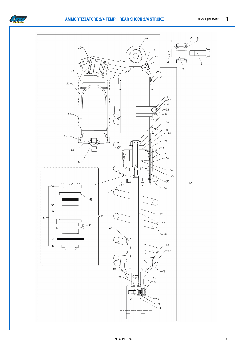

#### **AMMORTIZZATORE 2/4 TEMPI | REAR SHOCK 2/4 STROKE** TAVOLA | DRAWING 1